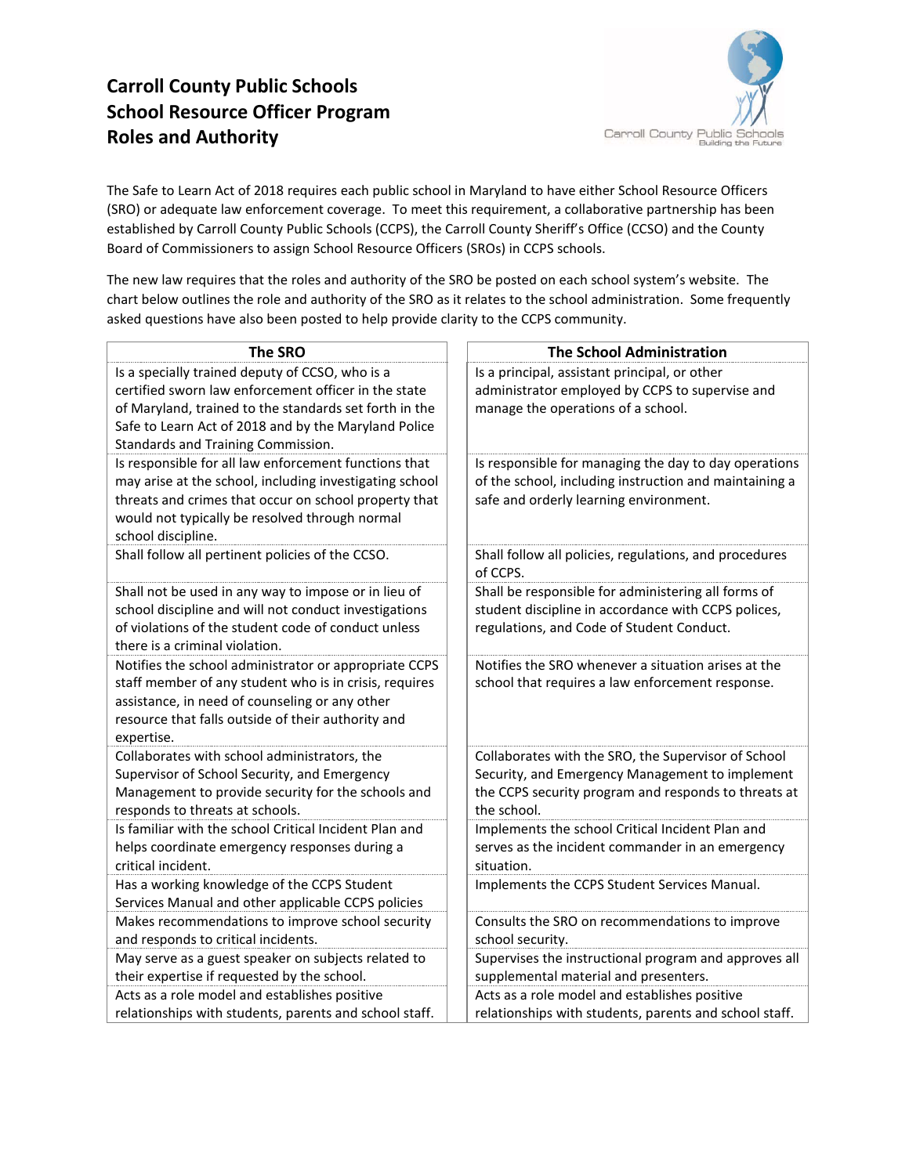# **Carroll County Public Schools School Resource Officer Program Roles and Authority**



The Safe to Learn Act of 2018 requires each public school in Maryland to have either School Resource Officers (SRO) or adequate law enforcement coverage. To meet this requirement, a collaborative partnership has been established by Carroll County Public Schools (CCPS), the Carroll County Sheriff's Office (CCSO) and the County Board of Commissioners to assign School Resource Officers (SROs) in CCPS schools.

The new law requires that the roles and authority of the SRO be posted on each school system's website. The chart below outlines the role and authority of the SRO as it relates to the school administration. Some frequently asked questions have also been posted to help provide clarity to the CCPS community.

| <b>The SRO</b>                                                                                                   | <b>The School Administration</b>                                                                 |
|------------------------------------------------------------------------------------------------------------------|--------------------------------------------------------------------------------------------------|
| Is a specially trained deputy of CCSO, who is a                                                                  | Is a principal, assistant principal, or other                                                    |
| certified sworn law enforcement officer in the state                                                             | administrator employed by CCPS to supervise and                                                  |
| of Maryland, trained to the standards set forth in the                                                           | manage the operations of a school.                                                               |
| Safe to Learn Act of 2018 and by the Maryland Police                                                             |                                                                                                  |
| Standards and Training Commission.                                                                               |                                                                                                  |
| Is responsible for all law enforcement functions that                                                            | Is responsible for managing the day to day operations                                            |
| may arise at the school, including investigating school<br>threats and crimes that occur on school property that | of the school, including instruction and maintaining a<br>safe and orderly learning environment. |
| would not typically be resolved through normal                                                                   |                                                                                                  |
| school discipline.                                                                                               |                                                                                                  |
| Shall follow all pertinent policies of the CCSO.                                                                 | Shall follow all policies, regulations, and procedures                                           |
|                                                                                                                  | of CCPS.                                                                                         |
| Shall not be used in any way to impose or in lieu of                                                             | Shall be responsible for administering all forms of                                              |
| school discipline and will not conduct investigations                                                            | student discipline in accordance with CCPS polices,                                              |
| of violations of the student code of conduct unless                                                              | regulations, and Code of Student Conduct.                                                        |
| there is a criminal violation.                                                                                   |                                                                                                  |
| Notifies the school administrator or appropriate CCPS                                                            | Notifies the SRO whenever a situation arises at the                                              |
| staff member of any student who is in crisis, requires                                                           | school that requires a law enforcement response.                                                 |
| assistance, in need of counseling or any other<br>resource that falls outside of their authority and             |                                                                                                  |
| expertise.                                                                                                       |                                                                                                  |
| Collaborates with school administrators, the                                                                     | Collaborates with the SRO, the Supervisor of School                                              |
| Supervisor of School Security, and Emergency                                                                     | Security, and Emergency Management to implement                                                  |
| Management to provide security for the schools and                                                               | the CCPS security program and responds to threats at                                             |
| responds to threats at schools.                                                                                  | the school.                                                                                      |
| Is familiar with the school Critical Incident Plan and                                                           | Implements the school Critical Incident Plan and                                                 |
| helps coordinate emergency responses during a                                                                    | serves as the incident commander in an emergency                                                 |
| critical incident.                                                                                               | situation.                                                                                       |
| Has a working knowledge of the CCPS Student                                                                      | Implements the CCPS Student Services Manual.                                                     |
| Services Manual and other applicable CCPS policies                                                               |                                                                                                  |
| Makes recommendations to improve school security<br>and responds to critical incidents.                          | Consults the SRO on recommendations to improve<br>school security.                               |
| May serve as a guest speaker on subjects related to                                                              | Supervises the instructional program and approves all                                            |
| their expertise if requested by the school.                                                                      | supplemental material and presenters.                                                            |
| Acts as a role model and establishes positive                                                                    | Acts as a role model and establishes positive                                                    |
| relationships with students, parents and school staff.                                                           | relationships with students, parents and school staff.                                           |